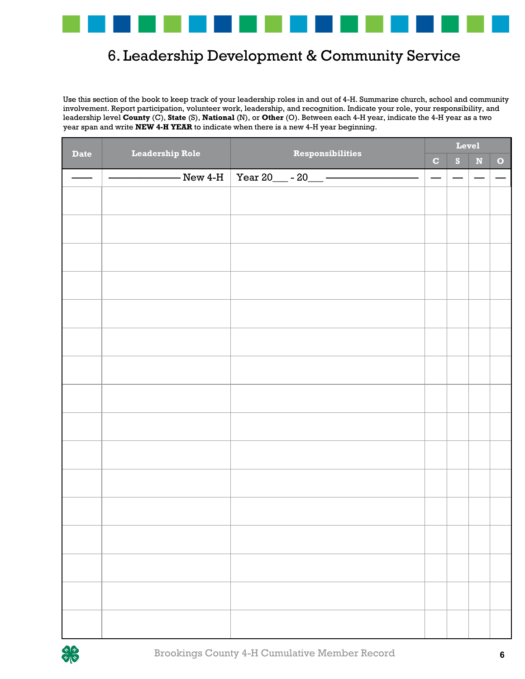

## 6. Leadership Development & Community Service Development & Comm

Use this section of the book to keep track of your leadership roles in and out of 4-H. Summarize church, school and community involvement. Report participation, volunteer work, leadership, and recognition. Indicate your role, your responsibility, and leadership level **County** (C), **State** (S), **National** (N), or **Other** (O). Between each 4-H year, indicate the 4-H year as a two year span and write **NEW 4-H YEAR** to indicate when there is a new 4-H year beginning.

| <b>Date</b>     | <b>Leadership Role</b> | <b>Responsibilities</b>                                                                                                                                                                                                                                                                                                                                                                                                                             | Level                    |                          |                          |                          |
|-----------------|------------------------|-----------------------------------------------------------------------------------------------------------------------------------------------------------------------------------------------------------------------------------------------------------------------------------------------------------------------------------------------------------------------------------------------------------------------------------------------------|--------------------------|--------------------------|--------------------------|--------------------------|
|                 |                        |                                                                                                                                                                                                                                                                                                                                                                                                                                                     | $\mathbf C$              | S                        | $\mathbf N$              | $\bullet$                |
| $\frac{1}{2}$ . |                        | $\begin{array}{c c c c c c} \hline \multicolumn{3}{ c }{\multicolumn{3}{c }{\multicolumn{3}{c }{\multicolumn{3}{c }{\multicolumn{3}{c }{\multicolumn{3}{c }{\multicolumn{3}{c }{\multicolumn{3}{c }{\multicolumn{3}{c }{\multicolumn{3}{c }{\multicolumn{3}{c }{\multicolumn{3}{c }{\multicolumn{3}{c }{\multicolumn{3}{c }{\multicolumn{3}{c }{\multicolumn{3}{c }{\multicolumn{3}{c }{\multicolumn{3}{c }{\multicolumn{3}{c }{\multicolumn{3}{c $ | $\overline{\phantom{0}}$ | $\overline{\phantom{0}}$ | $\overline{\phantom{a}}$ | $\overline{\phantom{m}}$ |
|                 |                        |                                                                                                                                                                                                                                                                                                                                                                                                                                                     |                          |                          |                          |                          |
|                 |                        |                                                                                                                                                                                                                                                                                                                                                                                                                                                     |                          |                          |                          |                          |
|                 |                        |                                                                                                                                                                                                                                                                                                                                                                                                                                                     |                          |                          |                          |                          |
|                 |                        |                                                                                                                                                                                                                                                                                                                                                                                                                                                     |                          |                          |                          |                          |
|                 |                        |                                                                                                                                                                                                                                                                                                                                                                                                                                                     |                          |                          |                          |                          |
|                 |                        |                                                                                                                                                                                                                                                                                                                                                                                                                                                     |                          |                          |                          |                          |
|                 |                        |                                                                                                                                                                                                                                                                                                                                                                                                                                                     |                          |                          |                          |                          |
|                 |                        |                                                                                                                                                                                                                                                                                                                                                                                                                                                     |                          |                          |                          |                          |
|                 |                        |                                                                                                                                                                                                                                                                                                                                                                                                                                                     |                          |                          |                          |                          |
|                 |                        |                                                                                                                                                                                                                                                                                                                                                                                                                                                     |                          |                          |                          |                          |
|                 |                        |                                                                                                                                                                                                                                                                                                                                                                                                                                                     |                          |                          |                          |                          |
|                 |                        |                                                                                                                                                                                                                                                                                                                                                                                                                                                     |                          |                          |                          |                          |
|                 |                        |                                                                                                                                                                                                                                                                                                                                                                                                                                                     |                          |                          |                          |                          |
|                 |                        |                                                                                                                                                                                                                                                                                                                                                                                                                                                     |                          |                          |                          |                          |
|                 |                        |                                                                                                                                                                                                                                                                                                                                                                                                                                                     |                          |                          |                          |                          |
|                 |                        |                                                                                                                                                                                                                                                                                                                                                                                                                                                     |                          |                          |                          |                          |
|                 |                        |                                                                                                                                                                                                                                                                                                                                                                                                                                                     |                          |                          |                          |                          |
|                 |                        |                                                                                                                                                                                                                                                                                                                                                                                                                                                     |                          |                          |                          |                          |
|                 |                        |                                                                                                                                                                                                                                                                                                                                                                                                                                                     |                          |                          |                          |                          |
|                 |                        |                                                                                                                                                                                                                                                                                                                                                                                                                                                     |                          |                          |                          |                          |
|                 |                        |                                                                                                                                                                                                                                                                                                                                                                                                                                                     |                          |                          |                          |                          |
|                 |                        |                                                                                                                                                                                                                                                                                                                                                                                                                                                     |                          |                          |                          |                          |
|                 |                        |                                                                                                                                                                                                                                                                                                                                                                                                                                                     |                          |                          |                          |                          |
|                 |                        |                                                                                                                                                                                                                                                                                                                                                                                                                                                     |                          |                          |                          |                          |
|                 |                        |                                                                                                                                                                                                                                                                                                                                                                                                                                                     |                          |                          |                          |                          |